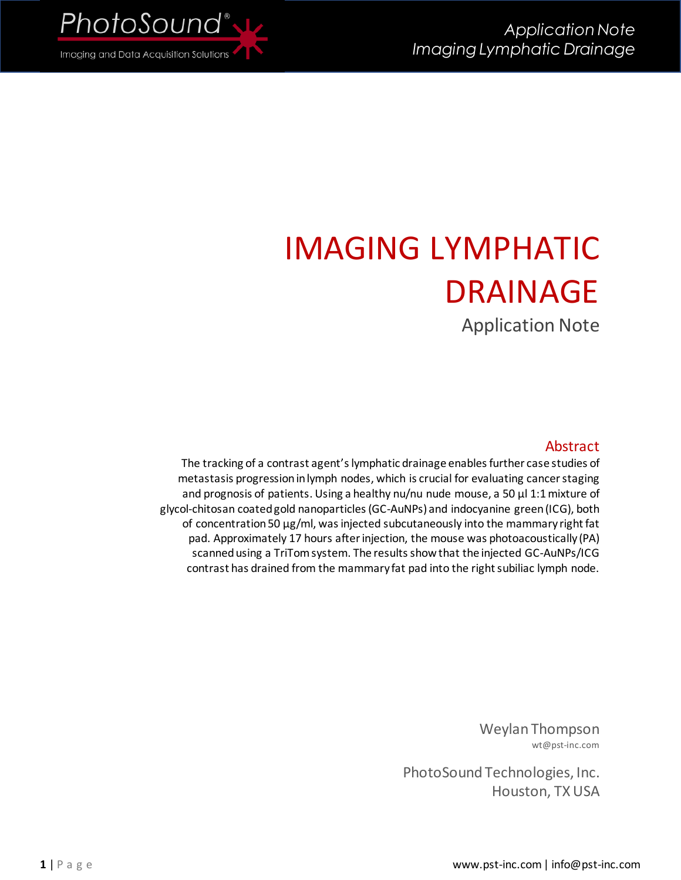

# IMAGING LYMPHATIC DRAINAGE

Application Note

## Abstract

The tracking of a contrast agent's lymphatic drainage enables further case studies of metastasis progression in lymph nodes, which is crucial for evaluating cancer staging and prognosis of patients. Using a healthy nu/nu nude mouse, a 50 µl 1:1 mixture of glycol-chitosan coated gold nanoparticles (GC-AuNPs) and indocyanine green (ICG), both of concentration 50 µg/ml, was injected subcutaneously into the mammary right fat pad. Approximately 17 hours after injection, the mouse was photoacoustically (PA) scanned using a TriTom system. The results show that the injected GC-AuNPs/ICG contrast has drained from the mammary fat pad into the right subiliac lymph node.

> Weylan Thompson wt@pst-inc.com

PhotoSound Technologies, Inc. Houston, TX USA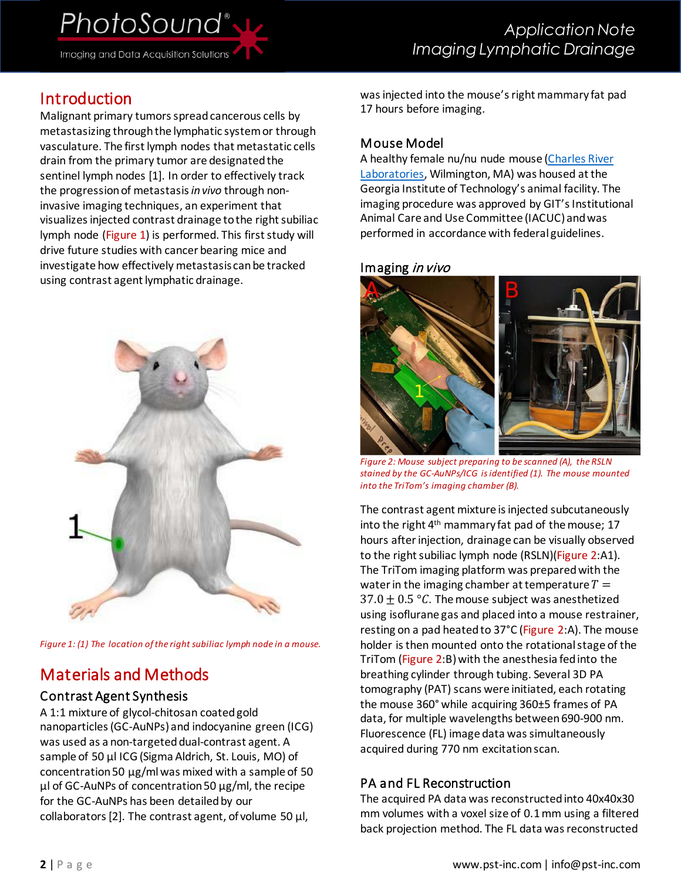PhotoSound<sup>®</sup>

Imaging and Data Acquisition Solutions

# Introduction

Malignant primary tumors spread cancerous cells by metastasizing through the lymphatic systemor through vasculature. The first lymph nodes that metastatic cells drain from the primary tumor are designated the sentinel lymph nodes [\[1\].](#page-2-0) In order to effectively track the progression of metastasis *in vivo* through noninvasive imaging techniques, an experiment that visualizes injected contrast drainage to the right subiliac lymph node [\(Figure 1\)](#page-1-0) is performed. This first study will drive future studies with cancer bearing mice and investigate how effectively metastasis can be tracked using contrast agent lymphatic drainage.



*Figure 1: (1) The location of the right subiliac lymph node in a mouse.* 

# <span id="page-1-0"></span>Materials and Methods

## Contrast Agent Synthesis

A 1:1 mixture of glycol-chitosan coated gold nanoparticles (GC-AuNPs) and indocyanine green (ICG) was used as a non-targeted dual-contrast agent. A sample of 50 µl ICG (Sigma Aldrich, St. Louis, MO) of concentration 50 µg/ml was mixed with a sample of 50 µl of GC-AuNPs of concentration 50 µg/ml, the recipe for the GC-AuNPs has been detailed by our collaborator[s \[2\].](#page-2-1) The contrast agent, of volume 50  $\mu$ l,

was injected into the mouse's right mammary fat pad 17 hours before imaging.

## Mouse Model

A healthy female nu/nu nude mouse [\(Charles River](https://www.criver.com/products-services/find-model/nunu-nude-mouse?region=3611)  [Laboratories,](https://www.criver.com/products-services/find-model/nunu-nude-mouse?region=3611) Wilmington, MA) was housed at the Georgia Institute of Technology's animal facility. The imaging procedure was approved by GIT's Institutional Animal Care and Use Committee (IACUC) and was performed in accordance with federal guidelines.

#### Imaging in vivo



*Figure 2: Mouse subject preparing to be scanned (A), the RSLN stained by the GC-AuNPs/ICG is identified (1). The mouse mounted into the TriTom's imaging chamber (B).*

<span id="page-1-1"></span>The contrast agent mixture is injected subcutaneously into the right 4<sup>th</sup> mammary fat pad of the mouse; 17 hours after injection, drainage can be visually observed to the right subiliac lymph node (RSLN)[\(Figure 2:](#page-1-1)A1). The TriTom imaging platform was prepared with the water in the imaging chamber at temperature  $T =$  $37.0 \pm 0.5$  °C. The mouse subject was anesthetized using isoflurane gas and placed into a mouse restrainer, resting on a pad heated to 37°C [\(Figure 2:](#page-1-1)A). The mouse holder is then mounted onto the rotational stage of the TriTom [\(Figure 2:](#page-1-1)B) with the anesthesia fed into the breathing cylinder through tubing. Several 3D PA tomography (PAT) scans were initiated, each rotating the mouse 360° while acquiring 360±5 frames of PA data, for multiple wavelengths between 690-900 nm. Fluorescence (FL) image data was simultaneously acquired during 770 nm excitation scan.

## PA and FL Reconstruction

The acquired PA data was reconstructed into 40x40x30 mm volumes with a voxel size of 0.1 mm using a filtered back projection method. The FL data was reconstructed